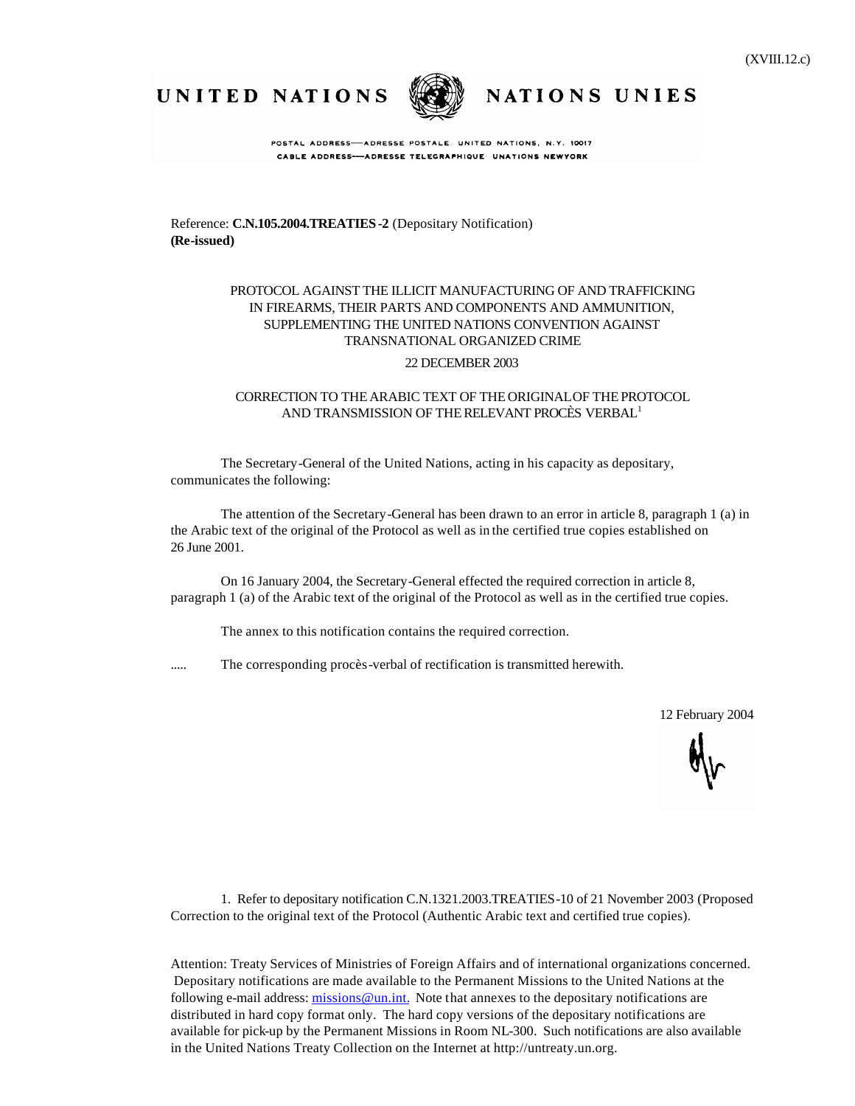UNITED NATIONS



POSTAL ADDRESS-ADRESSE POSTALE: UNITED NATIONS, N.Y. 10017

NATIONS UNIES

CABLE ADDRESS-ADRESSE TELEGRAPHIQUE UNATIONS NEWYORK

Reference: **C.N.105.2004.TREATIES-2** (Depositary Notification) **(Re-issued)**

# PROTOCOL AGAINST THE ILLICIT MANUFACTURING OF AND TRAFFICKING IN FIREARMS, THEIR PARTS AND COMPONENTS AND AMMUNITION, SUPPLEMENTING THE UNITED NATIONS CONVENTION AGAINST TRANSNATIONAL ORGANIZED CRIME

## 22 DECEMBER 2003

## CORRECTION TO THE ARABIC TEXT OF THE ORIGINALOF THEPROTOCOL AND TRANSMISSION OF THE RELEVANT PROCÈS VERBAL<sup>1</sup>

The Secretary-General of the United Nations, acting in his capacity as depositary, communicates the following:

The attention of the Secretary-General has been drawn to an error in article 8, paragraph 1 (a) in the Arabic text of the original of the Protocol as well as in the certified true copies established on 26 June 2001.

On 16 January 2004, the Secretary-General effected the required correction in article 8, paragraph 1 (a) of the Arabic text of the original of the Protocol as well as in the certified true copies.

The annex to this notification contains the required correction.

..... The corresponding procès-verbal of rectification is transmitted herewith.

12 February 2004

1. Refer to depositary notification C.N.1321.2003.TREATIES-10 of 21 November 2003 (Proposed Correction to the original text of the Protocol (Authentic Arabic text and certified true copies).

Attention: Treaty Services of Ministries of Foreign Affairs and of international organizations concerned. Depositary notifications are made available to the Permanent Missions to the United Nations at the following e-mail address: missions@un.int. Note that annexes to the depositary notifications are distributed in hard copy format only. The hard copy versions of the depositary notifications are available for pick-up by the Permanent Missions in Room NL-300. Such notifications are also available in the United Nations Treaty Collection on the Internet at http://untreaty.un.org.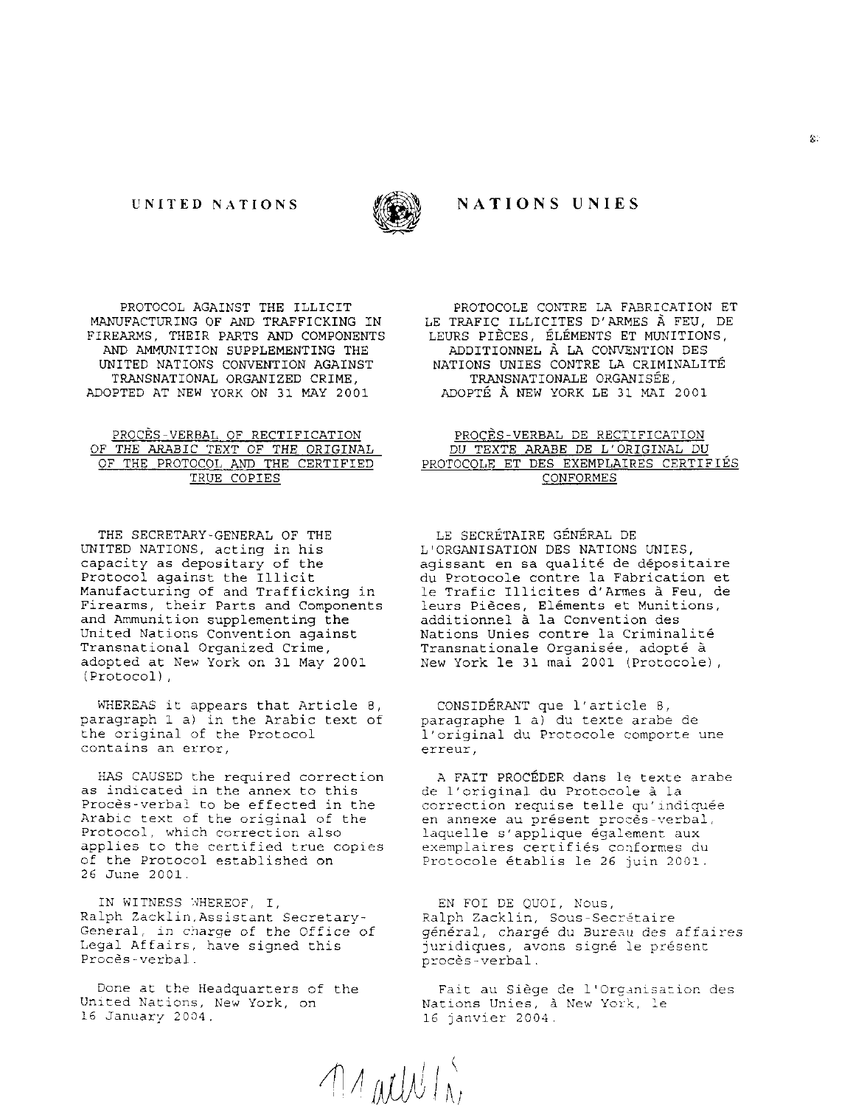#### UNITED NATIONS



# NATIONS UNIES

PROTOCOL AGAINST THE ILLICIT MANUFACTURING OF AND TRAFFICKING IN FIREARMS, THEIR PARTS AND COMPONENTS AND AMMUNITION SUPPLEMENTING THE UNITED NATIONS CONVENTION AGAINST TRANSNATIONAL ORGANIZED CRIME, ADOPTED AT NEW YORK ON 31 MAY 2001

#### PROCES-VERBAL OF RECTIFICATION OF THE ARABIC TEXT OF THE ORIGINAL OF THE PROTOCOL AND THE CERTIFIED TRUE COPIES

THE SECRETARY-GENERAL OF THE UNITED NATIONS, acting in his capacity as depositary of the Protocol against the Illicit Manufacturing of and Trafficking in Firearms, their Parts and Components and Ammunition supplementing the United Nations Convention against Transnational Organized Crime, adopted at New York on 31 May 2001 (Protocol).

WHEREAS it appears that Article 8, paragraph 1 a) in the Arabic text of the original of the Protocol contains an error.

HAS CAUSED the required correction as indicated in the annex to this Procès-verbal to be effected in the Arabic text of the original of the Protocol, which correction also applies to the certified true copies of the Protocol established on 26 June 2001.

IN WITNESS WHEREOF, I, Ralph Zacklin, Assistant Secretary-General, in charge of the Office of Legal Affairs, have signed this Proces-verbal.

Done at the Headquarters of the United Nations, New York, on 16 January 2004.

PROTOCOLE CONTRE LA FABRICATION ET LE TRAFIC ILLICITES D'ARMES À FEU, DE LEURS PIÈCES, ÉLÉMENTS ET MUNITIONS, ADDITIONNEL À LA CONVENTION DES NATIONS UNIES CONTRE LA CRIMINALITÉ TRANSNATIONALE ORGANISÉE, ADOPTÉ À NEW YORK LE 31 MAI 2001

### PROCES-VERBAL DE RECTIFICATION DU TEXTE ARABE DE L'ORIGINAL DU PROTOCOLE ET DES EXEMPLAIRES CERTIFIÉS **CONFORMES**

LE SECRÉTAIRE GÉNÉRAL DE L'ORGANISATION DES NATIONS UNIES, agissant en sa qualité de dépositaire du Protocole contre la Fabrication et le Trafic Illicites d'Armes à Feu, de leurs Pièces, Eléments et Munitions,<br>additionnel à la Convention des Nations Unies contre la Criminalité Transnationale Organisée, adopté à New York le 31 mai 2001 (Protocole),

CONSIDÉRANT que l'article 8, paragraphe 1 a) du texte arabe de l'original du Protocole comporte une erreur.

A FAIT PROCÉDER dans le texte arabe de l'original du Protocole à la correction requise telle qu'indiquée en annexe au présent procès-verbal, laquelle s'applique également aux exemplaires certifiés conformes du Protocole établis le 26 juin 2001.

EN FOI DE QUOI, Nous, Ralph Zacklin, Sous-Secrétaire général, chargé du Bureau des affaires juridiques, avons signé le présent procès-verbal.

Fait au Siège de l'Organisation des Nations Unies, à New York, le 16 janvier 2004.

 $\bigwedge_{\Lambda}$ all $\bigcup_{\Lambda}$